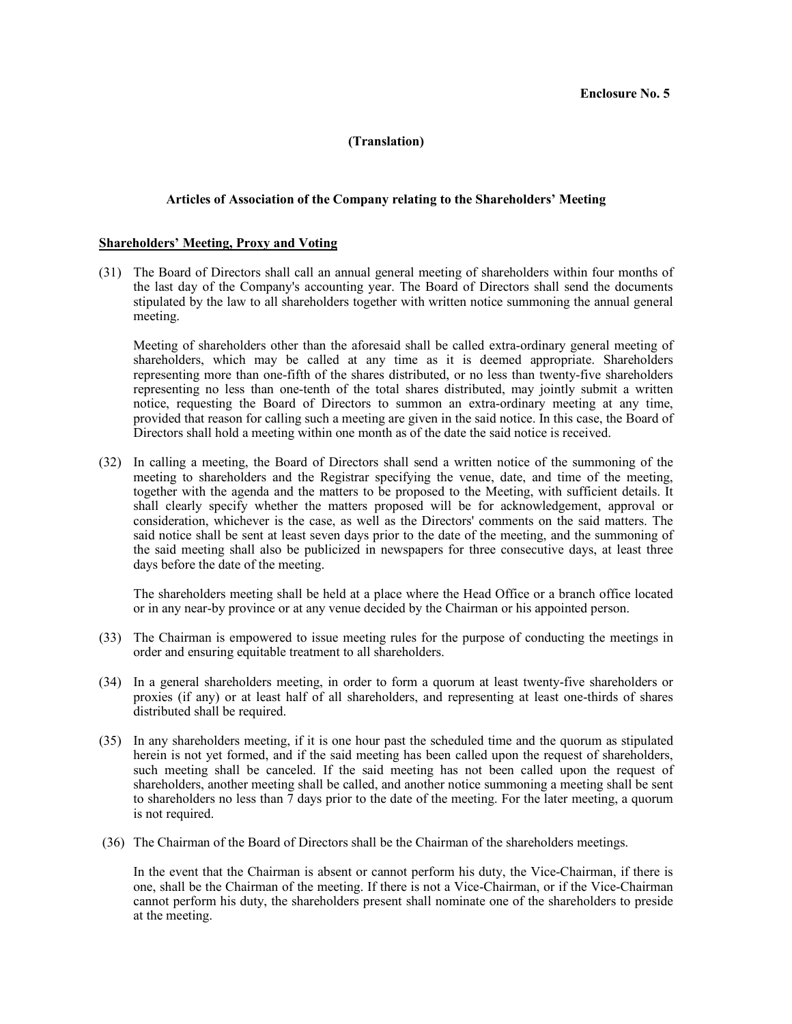# **(Translation)**

# **Articles of Association of the Company relating to the Shareholders' Meeting**

### **Shareholders' Meeting, Proxy and Voting**

(31) The Board of Directors shall call an annual general meeting of shareholders within four months of the last day of the Company's accounting year. The Board of Directors shall send the documents stipulated by the law to all shareholders together with written notice summoning the annual general meeting.

Meeting of shareholders other than the aforesaid shall be called extra-ordinary general meeting of shareholders, which may be called at any time as it is deemed appropriate. Shareholders representing more than one-fifth of the shares distributed, or no less than twenty-five shareholders representing no less than one-tenth of the total shares distributed, may jointly submit a written notice, requesting the Board of Directors to summon an extra-ordinary meeting at any time, provided that reason for calling such a meeting are given in the said notice. In this case, the Board of Directors shall hold a meeting within one month as of the date the said notice is received.

(32) In calling a meeting, the Board of Directors shall send a written notice of the summoning of the meeting to shareholders and the Registrar specifying the venue, date, and time of the meeting, together with the agenda and the matters to be proposed to the Meeting, with sufficient details. It shall clearly specify whether the matters proposed will be for acknowledgement, approval or consideration, whichever is the case, as well as the Directors' comments on the said matters. The said notice shall be sent at least seven days prior to the date of the meeting, and the summoning of the said meeting shall also be publicized in newspapers for three consecutive days, at least three days before the date of the meeting.

The shareholders meeting shall be held at a place where the Head Office or a branch office located or in any near-by province or at any venue decided by the Chairman or his appointed person.

- (33) The Chairman is empowered to issue meeting rules for the purpose of conducting the meetings in order and ensuring equitable treatment to all shareholders.
- (34) In a general shareholders meeting, in order to form a quorum at least twenty-five shareholders or proxies (if any) or at least half of all shareholders, and representing at least one-thirds of shares distributed shall be required.
- (35) In any shareholders meeting, if it is one hour past the scheduled time and the quorum as stipulated herein is not yet formed, and if the said meeting has been called upon the request of shareholders, such meeting shall be canceled. If the said meeting has not been called upon the request of shareholders, another meeting shall be called, and another notice summoning a meeting shall be sent to shareholders no less than  $\bar{7}$  days prior to the date of the meeting. For the later meeting, a quorum is not required.
- (36) The Chairman of the Board of Directors shall be the Chairman of the shareholders meetings.

In the event that the Chairman is absent or cannot perform his duty, the Vice-Chairman, if there is one, shall be the Chairman of the meeting. If there is not a Vice-Chairman, or if the Vice-Chairman cannot perform his duty, the shareholders present shall nominate one of the shareholders to preside at the meeting.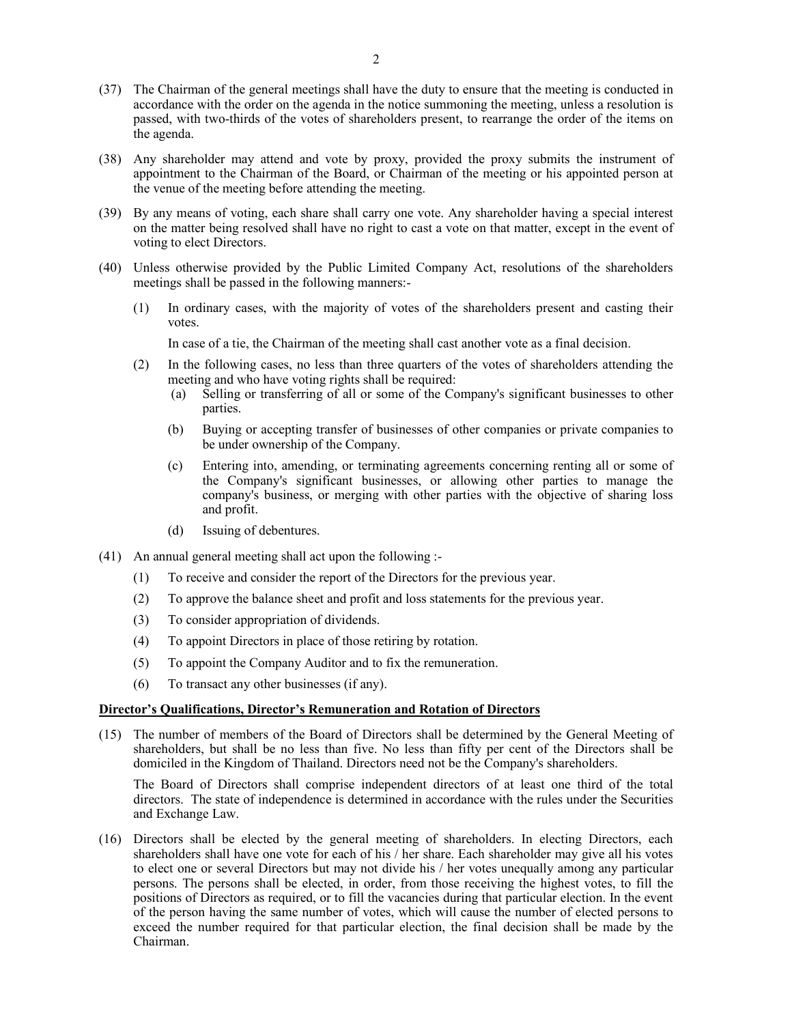- (37) The Chairman of the general meetings shall have the duty to ensure that the meeting is conducted in accordance with the order on the agenda in the notice summoning the meeting, unless a resolution is passed, with two-thirds of the votes of shareholders present, to rearrange the order of the items on the agenda.
- (38) Any shareholder may attend and vote by proxy, provided the proxy submits the instrument of appointment to the Chairman of the Board, or Chairman of the meeting or his appointed person at the venue of the meeting before attending the meeting.
- (39) By any means of voting, each share shall carry one vote. Any shareholder having a special interest on the matter being resolved shall have no right to cast a vote on that matter, except in the event of voting to elect Directors.
- (40) Unless otherwise provided by the Public Limited Company Act, resolutions of the shareholders meetings shall be passed in the following manners:-
	- (1) In ordinary cases, with the majority of votes of the shareholders present and casting their votes.

In case of a tie, the Chairman of the meeting shall cast another vote as a final decision.

- (2) In the following cases, no less than three quarters of the votes of shareholders attending the meeting and who have voting rights shall be required:
	- (a) Selling or transferring of all or some of the Company's significant businesses to other parties.
	- (b) Buying or accepting transfer of businesses of other companies or private companies to be under ownership of the Company.
	- (c) Entering into, amending, or terminating agreements concerning renting all or some of the Company's significant businesses, or allowing other parties to manage the company's business, or merging with other parties with the objective of sharing loss and profit.
	- (d) Issuing of debentures.
- (41) An annual general meeting shall act upon the following :-
	- (1) To receive and consider the report of the Directors for the previous year.
	- (2) To approve the balance sheet and profit and loss statements for the previous year.
	- (3) To consider appropriation of dividends.
	- (4) To appoint Directors in place of those retiring by rotation.
	- (5) To appoint the Company Auditor and to fix the remuneration.
	- (6) To transact any other businesses (if any).

#### **Director's Qualifications, Director's Remuneration and Rotation of Directors**

(15) The number of members of the Board of Directors shall be determined by the General Meeting of shareholders, but shall be no less than five. No less than fifty per cent of the Directors shall be domiciled in the Kingdom of Thailand. Directors need not be the Company's shareholders.

The Board of Directors shall comprise independent directors of at least one third of the total directors. The state of independence is determined in accordance with the rules under the Securities and Exchange Law.

(16) Directors shall be elected by the general meeting of shareholders. In electing Directors, each shareholders shall have one vote for each of his / her share. Each shareholder may give all his votes to elect one or several Directors but may not divide his / her votes unequally among any particular persons. The persons shall be elected, in order, from those receiving the highest votes, to fill the positions of Directors as required, or to fill the vacancies during that particular election. In the event of the person having the same number of votes, which will cause the number of elected persons to exceed the number required for that particular election, the final decision shall be made by the Chairman.